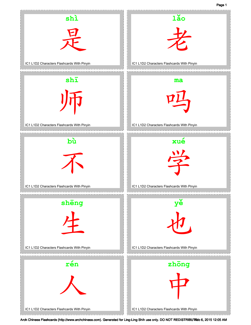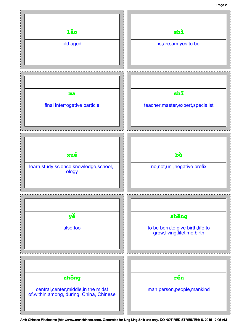## Page 2

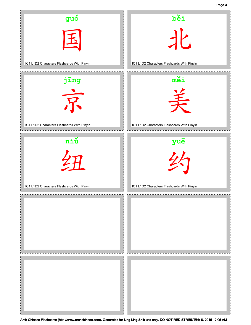